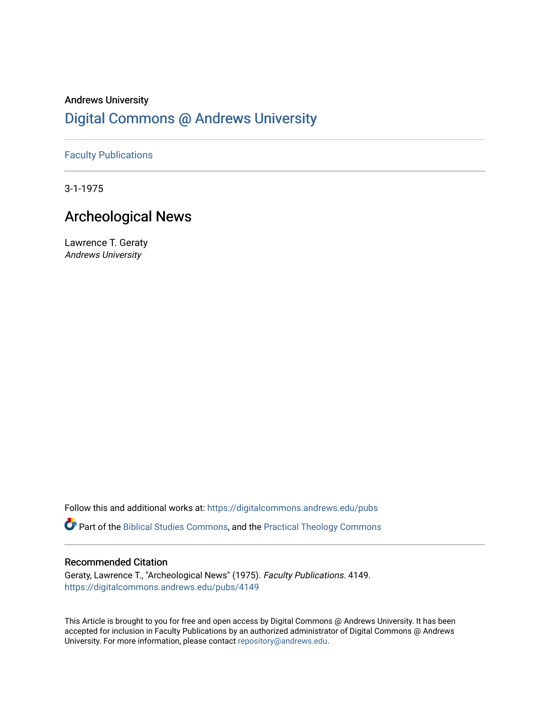# Andrews University [Digital Commons @ Andrews University](https://digitalcommons.andrews.edu/)

## [Faculty Publications](https://digitalcommons.andrews.edu/pubs)

3-1-1975

## Archeological News

Lawrence T. Geraty Andrews University

Follow this and additional works at: [https://digitalcommons.andrews.edu/pubs](https://digitalcommons.andrews.edu/pubs?utm_source=digitalcommons.andrews.edu%2Fpubs%2F4149&utm_medium=PDF&utm_campaign=PDFCoverPages) 

Part of the [Biblical Studies Commons,](http://network.bepress.com/hgg/discipline/539?utm_source=digitalcommons.andrews.edu%2Fpubs%2F4149&utm_medium=PDF&utm_campaign=PDFCoverPages) and the [Practical Theology Commons](http://network.bepress.com/hgg/discipline/1186?utm_source=digitalcommons.andrews.edu%2Fpubs%2F4149&utm_medium=PDF&utm_campaign=PDFCoverPages) 

### Recommended Citation

Geraty, Lawrence T., "Archeological News" (1975). Faculty Publications. 4149. [https://digitalcommons.andrews.edu/pubs/4149](https://digitalcommons.andrews.edu/pubs/4149?utm_source=digitalcommons.andrews.edu%2Fpubs%2F4149&utm_medium=PDF&utm_campaign=PDFCoverPages) 

This Article is brought to you for free and open access by Digital Commons @ Andrews University. It has been accepted for inclusion in Faculty Publications by an authorized administrator of Digital Commons @ Andrews University. For more information, please contact [repository@andrews.edu](mailto:repository@andrews.edu).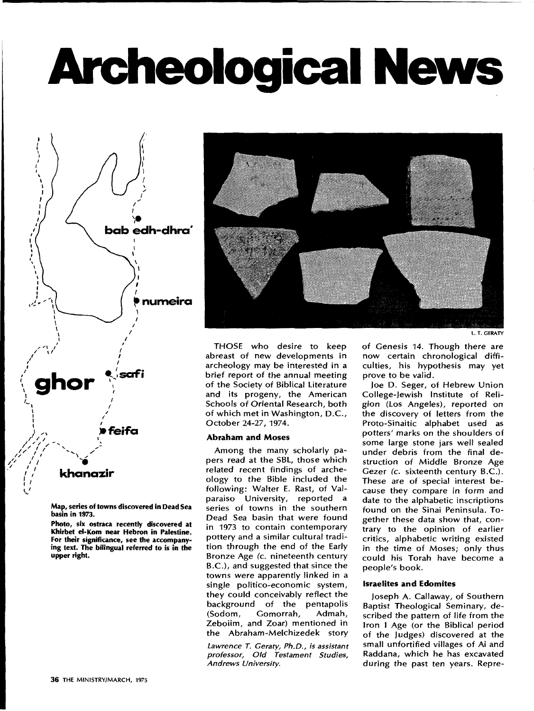# **Archeological News**



**Map, series of towns discovered in Dead Sea basin in 1973.** 

**Photo, six ostraca recently discovered at Khirbet el-Kom near Hebron in Palestine. For their significance, see the accompanying text. The bilingual referred to is in the upper right.** 



L. T. GERATY

**THOSE** who desire to keep abreast of new developments in archeology may be interested in a brief report of the annual meeting of the Society of Biblical Literature and its progeny, the American Schools of Oriental Research, both of which met in Washington, D.C., October 24-27, 1974.

### **Abraham and Moses**

Among the many scholarly papers read at the SBL, those which related recent findings of archeology to the Bible included the following: Walter E. Rast, of Valparaiso University, reported a series of towns in the southern Dead Sea basin that were found in 1973 to contain contemporary pottery and a similar cultural tradition through the end of the Early Bronze Age (c. nineteenth century B.C.), and suggested that since the towns were apparently linked in a single politico-economic system, they could conceivably reflect the background of the pentapolis<br>(Sodom, Gomorrah, Admah, (Sodom, Gomorrah, Zeboiim, and Zoar) mentioned in the Abraham-Melchizedek story

*Lawrence T. Geraty, Ph.D., is assistant professor, Old Testament Studies, Andrews University.* 

of Genesis 14. Though there are now certain chronological difficulties, his hypothesis may yet prove to be valid.

Joe D. Seger, of Hebrew Union College-Jewish Institute of Religion (Los Angeles), reported on the discovery of letters from the Proto-Sinaitic alphabet used as potters' marks on the shoulders of some large stone jars well sealed under debris from the final destruction of Middle Bronze Age Gezer *(c.* sixteenth century B.C.). These are of special interest because they compare in form and date to the alphabetic inscriptions found on the Sinai Peninsula. Together these data show that, contrary to the opinion of earlier critics, alphabetic writing existed *in* the time of Moses; only thus could his Torah have become a people's book.

### **Israelites and Edomites**

Joseph A. Callaway, of Southern Baptist Theological Seminary, described the pattern of life from the Iron I Age (or the Biblical period of the Judges) discovered at the small unfortified villages of Ai and Raddana, which he has excavated during the past ten years. Repre-